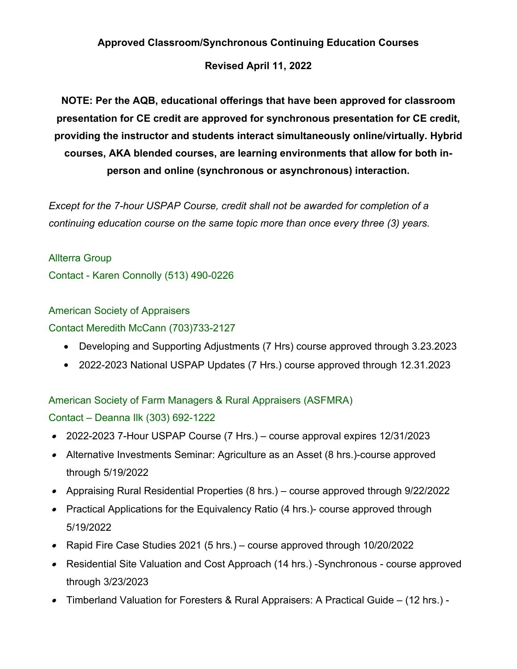#### **Approved Classroom/Synchronous Continuing Education Courses**

#### **Revised April 11, 2022**

**NOTE: Per the AQB, educational offerings that have been approved for classroom presentation for CE credit are approved for synchronous presentation for CE credit, providing the instructor and students interact simultaneously online/virtually. Hybrid courses, AKA blended courses, are learning environments that allow for both inperson and online (synchronous or asynchronous) interaction.**

*Except for the 7-hour USPAP Course, credit shall not be awarded for completion of a continuing education course on the same topic more than once every three (3) years.*

Allterra Group Contact - Karen Connolly (513) 490-0226

# American Society of Appraisers

#### Contact Meredith McCann (703)733-2127

- Developing and Supporting Adjustments (7 Hrs) course approved through 3.23.2023
- 2022-2023 National USPAP Updates (7 Hrs.) course approved through 12.31.2023

# American Society of Farm Managers & Rural Appraisers (ASFMRA) Contact – Deanna Ilk (303) 692-1222

- 2022-2023 7-Hour USPAP Course (7 Hrs.) course approval expires 12/31/2023
- Alternative Investments Seminar: Agriculture as an Asset (8 hrs.)-course approved through 5/19/2022
- Appraising Rural Residential Properties (8 hrs.) course approved through 9/22/2022
- Practical Applications for the Equivalency Ratio (4 hrs.)- course approved through 5/19/2022
- Rapid Fire Case Studies 2021 (5 hrs.) course approved through 10/20/2022
- Residential Site Valuation and Cost Approach (14 hrs.) -Synchronous course approved through 3/23/2023
- Timberland Valuation for Foresters & Rural Appraisers: A Practical Guide (12 hrs.) -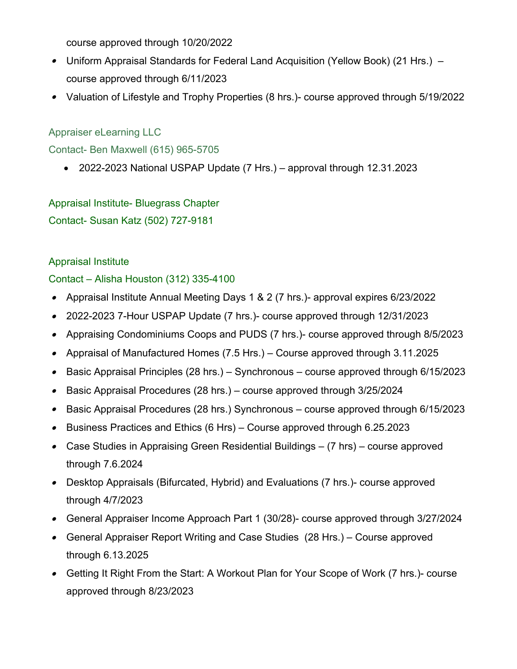course approved through 10/20/2022

- Uniform Appraisal Standards for Federal Land Acquisition (Yellow Book) (21 Hrs.) course approved through 6/11/2023
- Valuation of Lifestyle and Trophy Properties (8 hrs.)- course approved through 5/19/2022

### Appraiser eLearning LLC

Contact- Ben Maxwell (615) 965-5705

2022-2023 National USPAP Update (7 Hrs.) – approval through 12.31.2023

Appraisal Institute- Bluegrass Chapter Contact- Susan Katz (502) 727-9181

### Appraisal Institute

Contact – Alisha Houston (312) 335-4100

- Appraisal Institute Annual Meeting Days 1 & 2 (7 hrs.)- approval expires 6/23/2022
- 2022-2023 7-Hour USPAP Update (7 hrs.)- course approved through 12/31/2023
- Appraising Condominiums Coops and PUDS (7 hrs.)- course approved through 8/5/2023
- Appraisal of Manufactured Homes (7.5 Hrs.) Course approved through 3.11.2025
- Basic Appraisal Principles (28 hrs.) Synchronous course approved through 6/15/2023
- Basic Appraisal Procedures (28 hrs.) course approved through 3/25/2024
- Basic Appraisal Procedures (28 hrs.) Synchronous course approved through 6/15/2023
- Business Practices and Ethics (6 Hrs) Course approved through 6.25.2023
- Case Studies in Appraising Green Residential Buildings (7 hrs) course approved through 7.6.2024
- Desktop Appraisals (Bifurcated, Hybrid) and Evaluations (7 hrs.)- course approved through 4/7/2023
- General Appraiser Income Approach Part 1 (30/28)- course approved through 3/27/2024
- General Appraiser Report Writing and Case Studies (28 Hrs.) Course approved through 6.13.2025
- Getting It Right From the Start: A Workout Plan for Your Scope of Work (7 hrs.)- course approved through 8/23/2023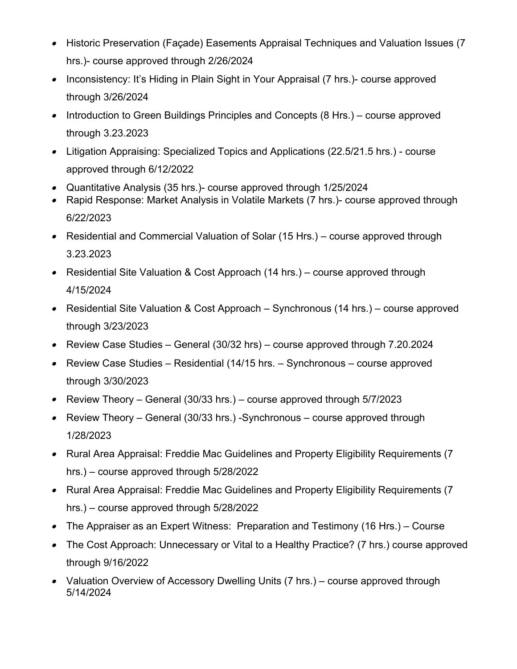- $\bullet$  Historic Preservation (Façade) Easements Appraisal Techniques and Valuation Issues (7 hrs.)- course approved through 2/26/2024
- $\bullet$  Inconsistency: It's Hiding in Plain Sight in Your Appraisal (7 hrs.)- course approved through 3/26/2024
- Introduction to Green Buildings Principles and Concepts (8 Hrs.) course approved through 3.23.2023
- Litigation Appraising: Specialized Topics and Applications (22.5/21.5 hrs.) course approved through 6/12/2022
- Quantitative Analysis (35 hrs.)- course approved through 1/25/2024
- $\bullet$  Rapid Response: Market Analysis in Volatile Markets (7 hrs.)- course approved through 6/22/2023
- $\bullet$  Residential and Commercial Valuation of Solar (15 Hrs.) – course approved through 3.23.2023
- $\bullet$  Residential Site Valuation & Cost Approach (14 hrs.) – course approved through 4/15/2024
- $\bullet$  Residential Site Valuation & Cost Approach – Synchronous (14 hrs.) – course approved through 3/23/2023
- $\bullet$ Review Case Studies – General (30/32 hrs) – course approved through 7.20.2024
- $\bullet$  Review Case Studies – Residential (14/15 hrs. – Synchronous – course approved through 3/30/2023
- $\bullet$ Review Theory – General (30/33 hrs.) – course approved through 5/7/2023
- Review Theory General (30/33 hrs.) -Synchronous course approved through 1/28/2023
- Rural Area Appraisal: Freddie Mac Guidelines and Property Eligibility Requirements (7 hrs.) – course approved through 5/28/2022
- Rural Area Appraisal: Freddie Mac Guidelines and Property Eligibility Requirements (7 hrs.) – course approved through 5/28/2022
- The Appraiser as an Expert Witness: Preparation and Testimony (16 Hrs.) Course
- The Cost Approach: Unnecessary or Vital to a Healthy Practice? (7 hrs.) course approved through 9/16/2022
- Valuation Overview of Accessory Dwelling Units (7 hrs.) course approved through 5/14/2024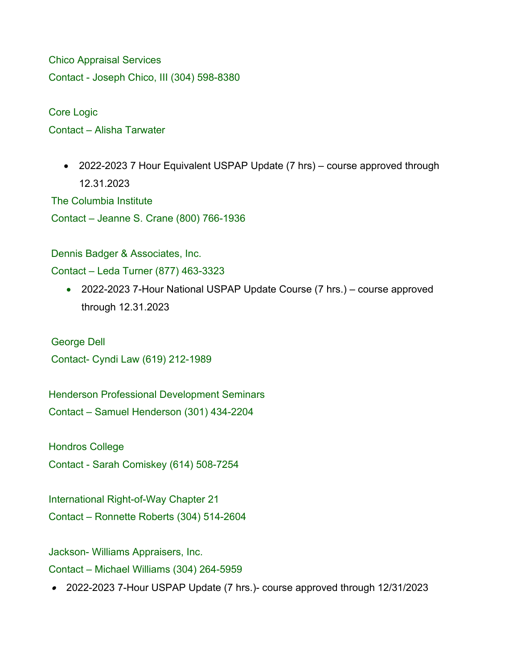Chico Appraisal Services Contact - Joseph Chico, III (304) 598-8380

Core Logic Contact – Alisha Tarwater

> • 2022-2023 7 Hour Equivalent USPAP Update (7 hrs) – course approved through 12.31.2023

The Columbia Institute Contact – Jeanne S. Crane (800) 766-1936

Dennis Badger & Associates, Inc.

Contact – Leda Turner (877) 463-3323

• 2022-2023 7-Hour National USPAP Update Course (7 hrs.) – course approved through 12.31.2023

George Dell Contact- Cyndi Law (619) 212-1989

Henderson Professional Development Seminars Contact – Samuel Henderson (301) 434-2204

Hondros College

Contact - Sarah Comiskey (614) 508-7254

International Right-of-Way Chapter 21 Contact – Ronnette Roberts (304) 514-2604

Jackson- Williams Appraisers, Inc.

Contact – Michael Williams (304) 264-5959

2022-2023 7-Hour USPAP Update (7 hrs.)- course approved through 12/31/2023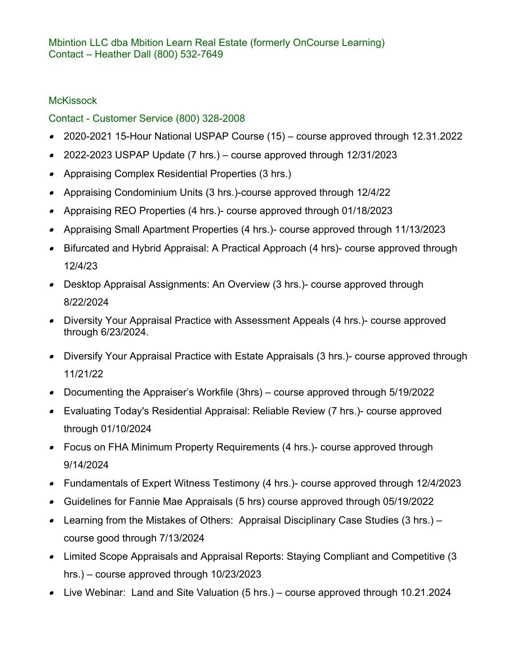## **McKissock**

# Contact - Customer Service (800) 328-2008

- 2020-2021 15-Hour National USPAP Course (15) course approved through 12.31.2022
- 2022-2023 USPAP Update (7 hrs.) course approved through 12/31/2023
- Appraising Complex Residential Properties (3 hrs.)
- Appraising Condominium Units (3 hrs.)-course approved through 12/4/22
- Appraising REO Properties (4 hrs.)- course approved through 01/18/2023
- Appraising Small Apartment Properties (4 hrs.)- course approved through 11/13/2023
- Bifurcated and Hybrid Appraisal: A Practical Approach (4 hrs)- course approved through 12/4/23
- Desktop Appraisal Assignments: An Overview (3 hrs.)- course approved through 8/22/2024
- Diversity Your Appraisal Practice with Assessment Appeals (4 hrs.)- course approved through 6/23/2024.
- Diversify Your Appraisal Practice with Estate Appraisals (3 hrs.)- course approved through 11/21/22
- Documenting the Appraiser's Workfile (3hrs) course approved through 5/19/2022
- Evaluating Today's Residential Appraisal: Reliable Review (7 hrs.)- course approved through 01/10/2024
- Focus on FHA Minimum Property Requirements (4 hrs.)- course approved through 9/14/2024
- Fundamentals of Expert Witness Testimony (4 hrs.)- course approved through 12/4/2023
- Guidelines for Fannie Mae Appraisals (5 hrs) course approved through 05/19/2022
- Learning from the Mistakes of Others: Appraisal Disciplinary Case Studies (3 hrs.) course good through 7/13/2024
- Limited Scope Appraisals and Appraisal Reports: Staying Compliant and Competitive (3 hrs.) – course approved through 10/23/2023
- Live Webinar: Land and Site Valuation (5 hrs.) course approved through 10.21.2024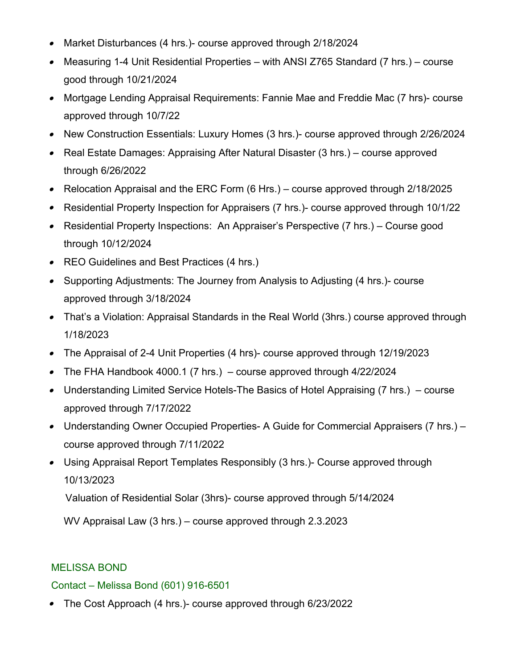- Market Disturbances (4 hrs.)- course approved through 2/18/2024
- Measuring 1-4 Unit Residential Properties with ANSI Z765 Standard (7 hrs.) course good through 10/21/2024
- Mortgage Lending Appraisal Requirements: Fannie Mae and Freddie Mac (7 hrs)- course approved through 10/7/22
- New Construction Essentials: Luxury Homes (3 hrs.)- course approved through 2/26/2024
- Real Estate Damages: Appraising After Natural Disaster (3 hrs.) course approved through 6/26/2022
- Relocation Appraisal and the ERC Form (6 Hrs.) course approved through 2/18/2025
- Residential Property Inspection for Appraisers (7 hrs.)- course approved through 10/1/22
- Residential Property Inspections: An Appraiser's Perspective (7 hrs.) Course good through 10/12/2024
- REO Guidelines and Best Practices (4 hrs.)
- Supporting Adjustments: The Journey from Analysis to Adjusting (4 hrs.)- course approved through 3/18/2024
- That's a Violation: Appraisal Standards in the Real World (3hrs.) course approved through 1/18/2023
- The Appraisal of 2-4 Unit Properties (4 hrs)- course approved through 12/19/2023
- The FHA Handbook 4000.1 (7 hrs.) course approved through 4/22/2024
- Understanding Limited Service Hotels-The Basics of Hotel Appraising (7 hrs.) course approved through 7/17/2022
- Understanding Owner Occupied Properties- A Guide for Commercial Appraisers (7 hrs.) course approved through 7/11/2022
- Using Appraisal Report Templates Responsibly (3 hrs.)- Course approved through 10/13/2023

Valuation of Residential Solar (3hrs)- course approved through 5/14/2024

WV Appraisal Law (3 hrs.) – course approved through 2.3.2023

# MELISSA BOND

### Contact – Melissa Bond (601) 916-6501

The Cost Approach (4 hrs.)- course approved through 6/23/2022